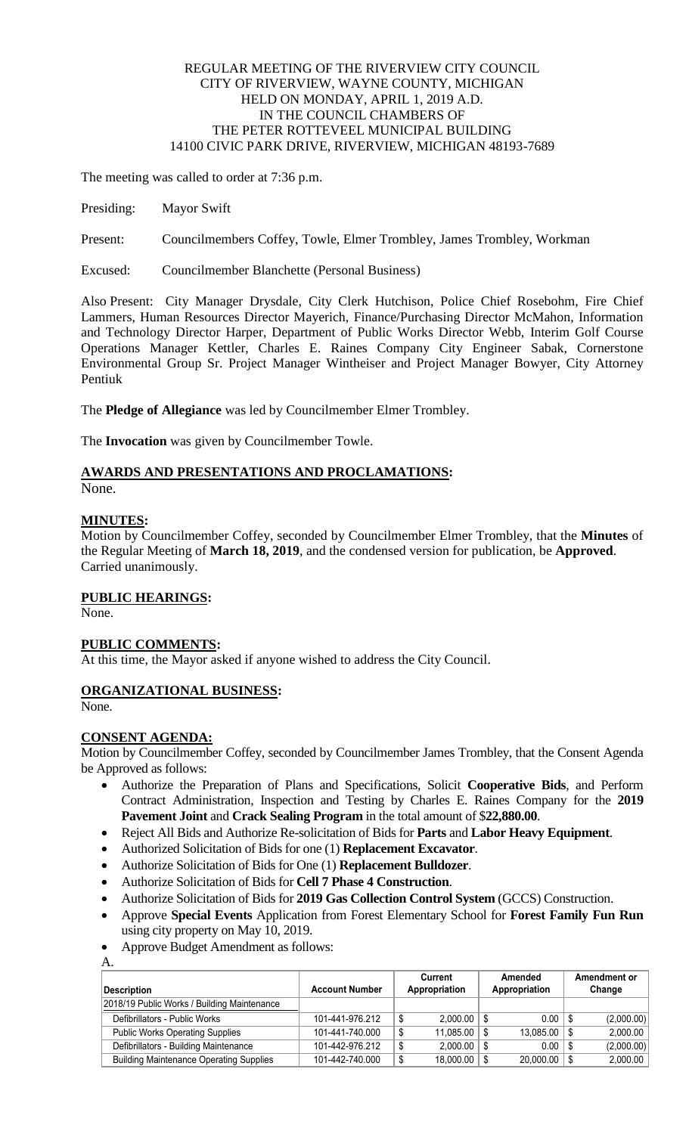# REGULAR MEETING OF THE RIVERVIEW CITY COUNCIL CITY OF RIVERVIEW, WAYNE COUNTY, MICHIGAN HELD ON MONDAY, APRIL 1, 2019 A.D. IN THE COUNCIL CHAMBERS OF THE PETER ROTTEVEEL MUNICIPAL BUILDING 14100 CIVIC PARK DRIVE, RIVERVIEW, MICHIGAN 48193-7689

The meeting was called to order at 7:36 p.m.

Presiding: Mayor Swift

Present: Councilmembers Coffey, Towle, Elmer Trombley, James Trombley, Workman

Excused: Councilmember Blanchette (Personal Business)

Also Present: City Manager Drysdale, City Clerk Hutchison, Police Chief Rosebohm, Fire Chief Lammers, Human Resources Director Mayerich, Finance/Purchasing Director McMahon, Information and Technology Director Harper, Department of Public Works Director Webb, Interim Golf Course Operations Manager Kettler, Charles E. Raines Company City Engineer Sabak, Cornerstone Environmental Group Sr. Project Manager Wintheiser and Project Manager Bowyer, City Attorney Pentiuk

The **Pledge of Allegiance** was led by Councilmember Elmer Trombley.

The **Invocation** was given by Councilmember Towle.

# **AWARDS AND PRESENTATIONS AND PROCLAMATIONS:**

None.

# **MINUTES:**

Motion by Councilmember Coffey, seconded by Councilmember Elmer Trombley, that the **Minutes** of the Regular Meeting of **March 18, 2019**, and the condensed version for publication, be **Approved**. Carried unanimously.

# **PUBLIC HEARINGS:**

None.

# **PUBLIC COMMENTS:**

At this time, the Mayor asked if anyone wished to address the City Council.

# **ORGANIZATIONAL BUSINESS:**

None.

# **CONSENT AGENDA:**

Motion by Councilmember Coffey, seconded by Councilmember James Trombley, that the Consent Agenda be Approved as follows:

- Authorize the Preparation of Plans and Specifications, Solicit **Cooperative Bids**, and Perform Contract Administration, Inspection and Testing by Charles E. Raines Company for the **2019 Pavement Joint** and **Crack Sealing Program** in the total amount of \$**22,880.00**.
- Reject All Bids and Authorize Re-solicitation of Bids for **Parts** and **Labor Heavy Equipment**.
- Authorized Solicitation of Bids for one (1) **Replacement Excavator**.
- Authorize Solicitation of Bids for One (1) **Replacement Bulldozer**.
- Authorize Solicitation of Bids for **Cell 7 Phase 4 Construction**.
- Authorize Solicitation of Bids for **2019 Gas Collection Control System** (GCCS) Construction.
- Approve **Special Events** Application from Forest Elementary School for **Forest Family Fun Run** using city property on May 10, 2019.
- Approve Budget Amendment as follows: A.

| Description                                    | <b>Account Number</b> | Current<br>Appropriation |                  | Amended<br>Appropriation |             | Amendment or<br>Change |            |
|------------------------------------------------|-----------------------|--------------------------|------------------|--------------------------|-------------|------------------------|------------|
| 2018/19 Public Works / Building Maintenance    |                       |                          |                  |                          |             |                        |            |
| Defibrillators - Public Works                  | 101-441-976.212       |                          | $2.000.00$   \$  |                          | $0.00$   \$ |                        | (2,000.00) |
| <b>Public Works Operating Supplies</b>         | 101-441-740.000       | S                        | $11.085.00$   \$ |                          | 13,085.00   |                        | 2,000.00   |
| Defibrillators - Building Maintenance          | 101-442-976.212       |                          | $2.000.00$   \$  |                          | 0.00        |                        | (2,000.00) |
| <b>Building Maintenance Operating Supplies</b> | 101-442-740.000       |                          | $18,000.00$   \$ |                          | 20,000.00   |                        | 2,000.00   |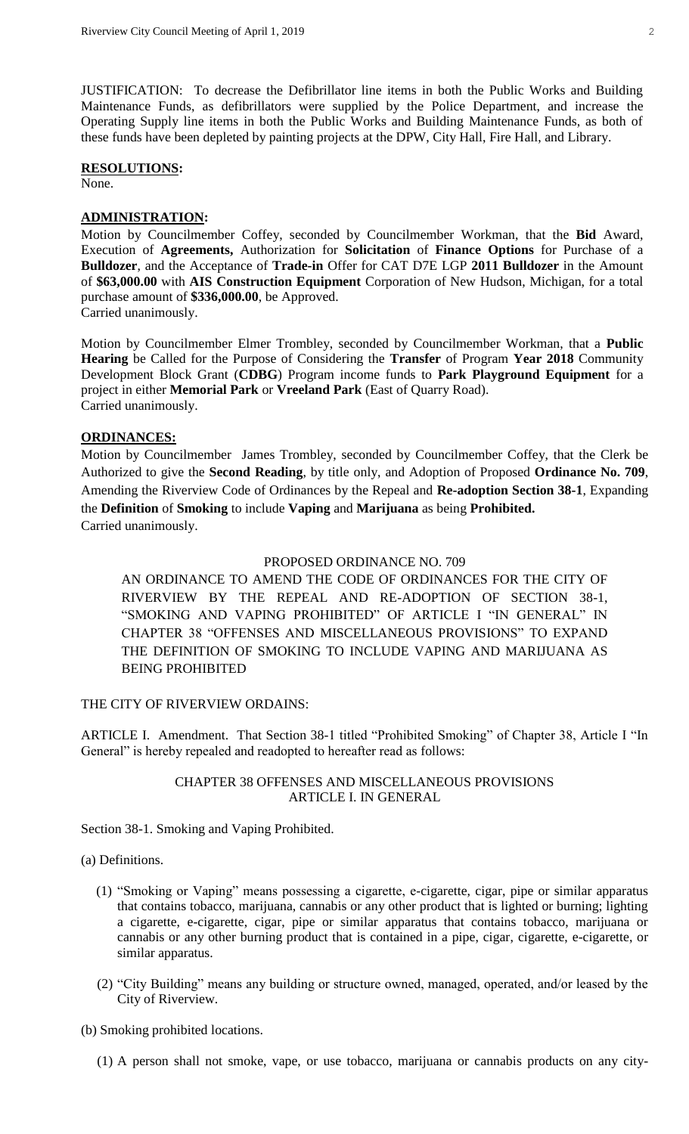JUSTIFICATION: To decrease the Defibrillator line items in both the Public Works and Building Maintenance Funds, as defibrillators were supplied by the Police Department, and increase the Operating Supply line items in both the Public Works and Building Maintenance Funds, as both of these funds have been depleted by painting projects at the DPW, City Hall, Fire Hall, and Library.

#### **RESOLUTIONS:** None.

# **ADMINISTRATION:**

Motion by Councilmember Coffey, seconded by Councilmember Workman, that the **Bid** Award, Execution of **Agreements,** Authorization for **Solicitation** of **Finance Options** for Purchase of a **Bulldozer**, and the Acceptance of **Trade-in** Offer for CAT D7E LGP **2011 Bulldozer** in the Amount of **\$63,000.00** with **AIS Construction Equipment** Corporation of New Hudson, Michigan, for a total purchase amount of **\$336,000.00**, be Approved. Carried unanimously.

Motion by Councilmember Elmer Trombley, seconded by Councilmember Workman, that a **Public Hearing** be Called for the Purpose of Considering the **Transfer** of Program **Year 2018** Community Development Block Grant (**CDBG**) Program income funds to **Park Playground Equipment** for a project in either **Memorial Park** or **Vreeland Park** (East of Quarry Road). Carried unanimously.

## **ORDINANCES:**

Motion by Councilmember James Trombley, seconded by Councilmember Coffey, that the Clerk be Authorized to give the **Second Reading**, by title only, and Adoption of Proposed **Ordinance No. 709**, Amending the Riverview Code of Ordinances by the Repeal and **Re-adoption Section 38-1**, Expanding the **Definition** of **Smoking** to include **Vaping** and **Marijuana** as being **Prohibited.** Carried unanimously.

## PROPOSED ORDINANCE NO. 709

AN ORDINANCE TO AMEND THE CODE OF ORDINANCES FOR THE CITY OF RIVERVIEW BY THE REPEAL AND RE-ADOPTION OF SECTION 38-1, "SMOKING AND VAPING PROHIBITED" OF ARTICLE I "IN GENERAL" IN CHAPTER 38 "OFFENSES AND MISCELLANEOUS PROVISIONS" TO EXPAND THE DEFINITION OF SMOKING TO INCLUDE VAPING AND MARIJUANA AS BEING PROHIBITED

## THE CITY OF RIVERVIEW ORDAINS:

ARTICLE I. Amendment. That Section 38-1 titled "Prohibited Smoking" of Chapter 38, Article I "In General" is hereby repealed and readopted to hereafter read as follows:

## CHAPTER 38 OFFENSES AND MISCELLANEOUS PROVISIONS ARTICLE I. IN GENERAL

Section 38-1. Smoking and Vaping Prohibited.

#### (a) Definitions.

- (1) "Smoking or Vaping" means possessing a cigarette, e-cigarette, cigar, pipe or similar apparatus that contains tobacco, marijuana, cannabis or any other product that is lighted or burning; lighting a cigarette, e-cigarette, cigar, pipe or similar apparatus that contains tobacco, marijuana or cannabis or any other burning product that is contained in a pipe, cigar, cigarette, e-cigarette, or similar apparatus.
- (2) "City Building" means any building or structure owned, managed, operated, and/or leased by the City of Riverview.

### (b) Smoking prohibited locations.

(1) A person shall not smoke, vape, or use tobacco, marijuana or cannabis products on any city-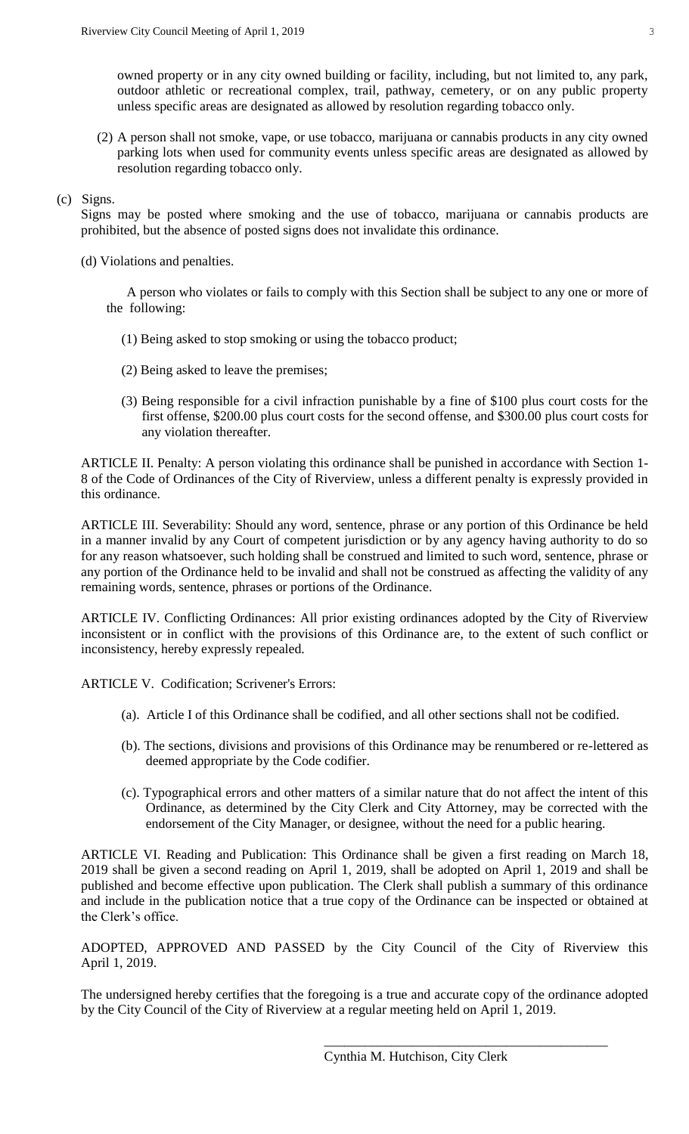owned property or in any city owned building or facility, including, but not limited to, any park, outdoor athletic or recreational complex, trail, pathway, cemetery, or on any public property unless specific areas are designated as allowed by resolution regarding tobacco only.

(2) A person shall not smoke, vape, or use tobacco, marijuana or cannabis products in any city owned parking lots when used for community events unless specific areas are designated as allowed by resolution regarding tobacco only.

## (c) Signs.

Signs may be posted where smoking and the use of tobacco, marijuana or cannabis products are prohibited, but the absence of posted signs does not invalidate this ordinance.

(d) Violations and penalties.

A person who violates or fails to comply with this Section shall be subject to any one or more of the following:

- (1) Being asked to stop smoking or using the tobacco product;
- (2) Being asked to leave the premises;
- (3) Being responsible for a civil infraction punishable by a fine of \$100 plus court costs for the first offense, \$200.00 plus court costs for the second offense, and \$300.00 plus court costs for any violation thereafter.

ARTICLE II. Penalty: A person violating this ordinance shall be punished in accordance with Section 1- 8 of the Code of Ordinances of the City of Riverview, unless a different penalty is expressly provided in this ordinance.

ARTICLE III. Severability: Should any word, sentence, phrase or any portion of this Ordinance be held in a manner invalid by any Court of competent jurisdiction or by any agency having authority to do so for any reason whatsoever, such holding shall be construed and limited to such word, sentence, phrase or any portion of the Ordinance held to be invalid and shall not be construed as affecting the validity of any remaining words, sentence, phrases or portions of the Ordinance.

ARTICLE IV. Conflicting Ordinances: All prior existing ordinances adopted by the City of Riverview inconsistent or in conflict with the provisions of this Ordinance are, to the extent of such conflict or inconsistency, hereby expressly repealed.

ARTICLE V. Codification; Scrivener's Errors:

- (a). Article I of this Ordinance shall be codified, and all other sections shall not be codified.
- (b). The sections, divisions and provisions of this Ordinance may be renumbered or re-lettered as deemed appropriate by the Code codifier.
- (c). Typographical errors and other matters of a similar nature that do not affect the intent of this Ordinance, as determined by the City Clerk and City Attorney, may be corrected with the endorsement of the City Manager, or designee, without the need for a public hearing.

ARTICLE VI. Reading and Publication: This Ordinance shall be given a first reading on March 18, 2019 shall be given a second reading on April 1, 2019, shall be adopted on April 1, 2019 and shall be published and become effective upon publication. The Clerk shall publish a summary of this ordinance and include in the publication notice that a true copy of the Ordinance can be inspected or obtained at the Clerk's office.

ADOPTED, APPROVED AND PASSED by the City Council of the City of Riverview this April 1, 2019.

The undersigned hereby certifies that the foregoing is a true and accurate copy of the ordinance adopted by the City Council of the City of Riverview at a regular meeting held on April 1, 2019.

\_\_\_\_\_\_\_\_\_\_\_\_\_\_\_\_\_\_\_\_\_\_\_\_\_\_\_\_\_\_\_\_\_\_\_\_\_\_\_\_\_\_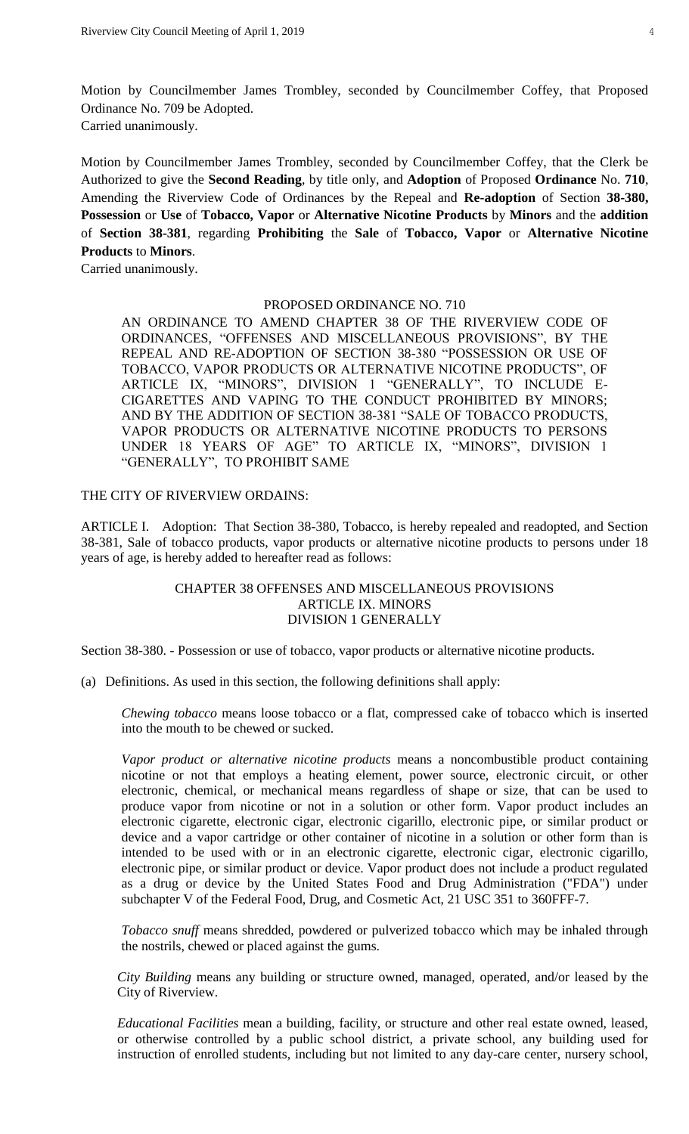Motion by Councilmember James Trombley, seconded by Councilmember Coffey, that Proposed Ordinance No. 709 be Adopted. Carried unanimously.

Motion by Councilmember James Trombley, seconded by Councilmember Coffey, that the Clerk be Authorized to give the **Second Reading**, by title only, and **Adoption** of Proposed **Ordinance** No. **710**, Amending the Riverview Code of Ordinances by the Repeal and **Re-adoption** of Section **38-380, Possession** or **Use** of **Tobacco, Vapor** or **Alternative Nicotine Products** by **Minors** and the **addition** of **Section 38-381**, regarding **Prohibiting** the **Sale** of **Tobacco, Vapor** or **Alternative Nicotine Products** to **Minors**.

Carried unanimously.

#### PROPOSED ORDINANCE NO. 710

AN ORDINANCE TO AMEND CHAPTER 38 OF THE RIVERVIEW CODE OF ORDINANCES, "OFFENSES AND MISCELLANEOUS PROVISIONS", BY THE REPEAL AND RE-ADOPTION OF SECTION 38-380 "POSSESSION OR USE OF TOBACCO, VAPOR PRODUCTS OR ALTERNATIVE NICOTINE PRODUCTS", OF ARTICLE IX, "MINORS", DIVISION 1 "GENERALLY", TO INCLUDE E-CIGARETTES AND VAPING TO THE CONDUCT PROHIBITED BY MINORS; AND BY THE ADDITION OF SECTION 38-381 "SALE OF TOBACCO PRODUCTS, VAPOR PRODUCTS OR ALTERNATIVE NICOTINE PRODUCTS TO PERSONS UNDER 18 YEARS OF AGE" TO ARTICLE IX, "MINORS", DIVISION 1 "GENERALLY", TO PROHIBIT SAME

## THE CITY OF RIVERVIEW ORDAINS:

ARTICLE I. Adoption: That Section 38-380, Tobacco, is hereby repealed and readopted, and Section 38-381, Sale of tobacco products, vapor products or alternative nicotine products to persons under 18 years of age, is hereby added to hereafter read as follows:

# CHAPTER 38 OFFENSES AND MISCELLANEOUS PROVISIONS ARTICLE IX. MINORS DIVISION 1 GENERALLY

Section 38-380. - Possession or use of tobacco, vapor products or alternative nicotine products.

(a) Definitions. As used in this section, the following definitions shall apply:

*Chewing tobacco* means loose tobacco or a flat, compressed cake of tobacco which is inserted into the mouth to be chewed or sucked.

*Vapor product or alternative nicotine products* means a noncombustible product containing nicotine or not that employs a heating element, power source, electronic circuit, or other electronic, chemical, or mechanical means regardless of shape or size, that can be used to produce vapor from nicotine or not in a solution or other form. Vapor product includes an electronic cigarette, electronic cigar, electronic cigarillo, electronic pipe, or similar product or device and a vapor cartridge or other container of nicotine in a solution or other form than is intended to be used with or in an electronic cigarette, electronic cigar, electronic cigarillo, electronic pipe, or similar product or device. Vapor product does not include a product regulated as a drug or device by the United States Food and Drug Administration ("FDA") under subchapter V of the Federal Food, Drug, and Cosmetic Act, 21 USC 351 to 360FFF-7.

*Tobacco snuff* means shredded, powdered or pulverized tobacco which may be inhaled through the nostrils, chewed or placed against the gums.

*City Building* means any building or structure owned, managed, operated, and/or leased by the City of Riverview.

*Educational Facilities* mean a building, facility, or structure and other real estate owned, leased, or otherwise controlled by a public school district, a private school, any building used for instruction of enrolled students, including but not limited to any day-care center, nursery school,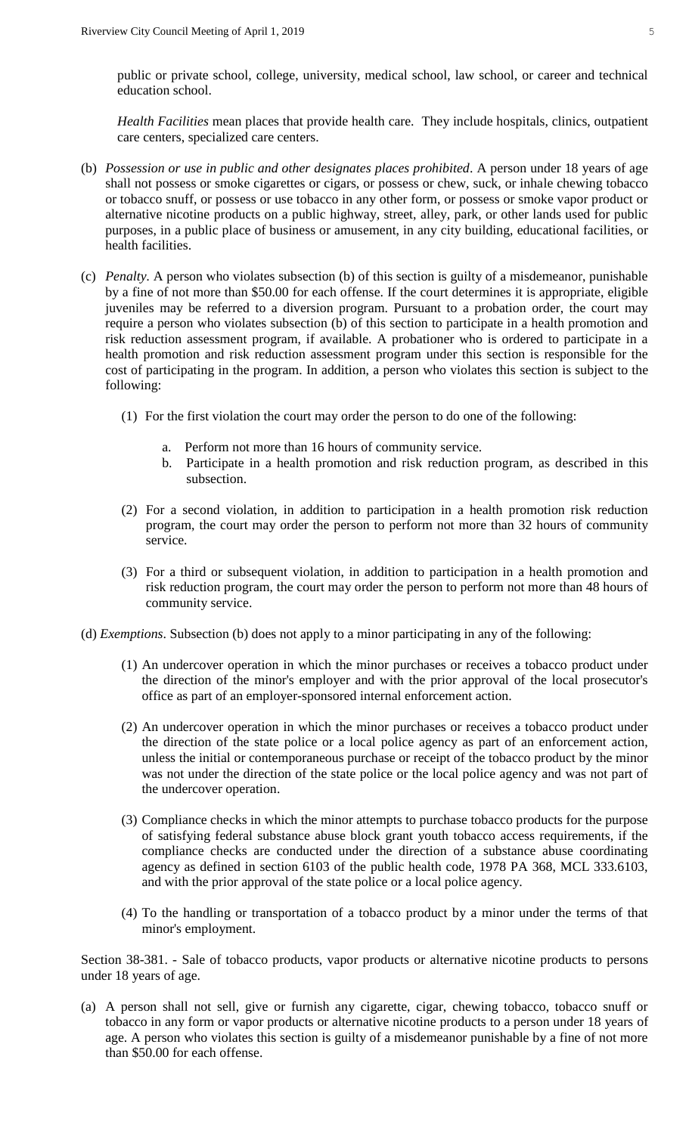public or private school, college, university, medical school, law school, or career and technical education school.

*Health Facilities* mean places that provide health care. They include hospitals, clinics, outpatient care centers, specialized care centers.

- (b) *Possession or use in public and other designates places prohibited*. A person under 18 years of age shall not possess or smoke cigarettes or cigars, or possess or chew, suck, or inhale chewing tobacco or tobacco snuff, or possess or use tobacco in any other form, or possess or smoke vapor product or alternative nicotine products on a public highway, street, alley, park, or other lands used for public purposes, in a public place of business or amusement, in any city building, educational facilities, or health facilities.
- (c) *Penalty.* A person who violates subsection (b) of this section is guilty of a misdemeanor, punishable by a fine of not more than \$50.00 for each offense. If the court determines it is appropriate, eligible juveniles may be referred to a diversion program. Pursuant to a probation order, the court may require a person who violates subsection (b) of this section to participate in a health promotion and risk reduction assessment program, if available. A probationer who is ordered to participate in a health promotion and risk reduction assessment program under this section is responsible for the cost of participating in the program. In addition, a person who violates this section is subject to the following:
	- (1) For the first violation the court may order the person to do one of the following:
		- a. Perform not more than 16 hours of community service.
		- b. Participate in a health promotion and risk reduction program, as described in this subsection.
	- (2) For a second violation, in addition to participation in a health promotion risk reduction program, the court may order the person to perform not more than 32 hours of community service.
	- (3) For a third or subsequent violation, in addition to participation in a health promotion and risk reduction program, the court may order the person to perform not more than 48 hours of community service.
- (d) *Exemptions*. Subsection (b) does not apply to a minor participating in any of the following:
	- (1) An undercover operation in which the minor purchases or receives a tobacco product under the direction of the minor's employer and with the prior approval of the local prosecutor's office as part of an employer-sponsored internal enforcement action.
	- (2) An undercover operation in which the minor purchases or receives a tobacco product under the direction of the state police or a local police agency as part of an enforcement action, unless the initial or contemporaneous purchase or receipt of the tobacco product by the minor was not under the direction of the state police or the local police agency and was not part of the undercover operation.
	- (3) Compliance checks in which the minor attempts to purchase tobacco products for the purpose of satisfying federal substance abuse block grant youth tobacco access requirements, if the compliance checks are conducted under the direction of a substance abuse coordinating agency as defined in section 6103 of the public health code, 1978 PA 368, MCL 333.6103, and with the prior approval of the state police or a local police agency.
	- (4) To the handling or transportation of a tobacco product by a minor under the terms of that minor's employment.

Section 38-381. - Sale of tobacco products, vapor products or alternative nicotine products to persons under 18 years of age.

(a) A person shall not sell, give or furnish any cigarette, cigar, chewing tobacco, tobacco snuff or tobacco in any form or vapor products or alternative nicotine products to a person under 18 years of age. A person who violates this section is guilty of a misdemeanor punishable by a fine of not more than \$50.00 for each offense.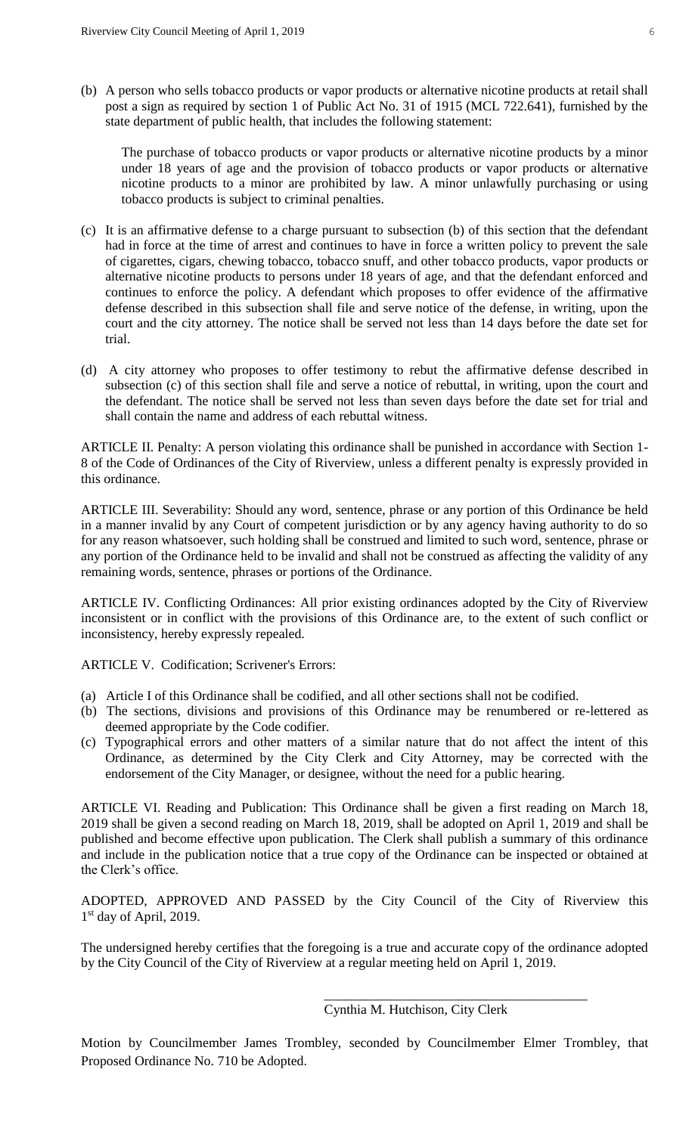(b) A person who sells tobacco products or vapor products or alternative nicotine products at retail shall post a sign as required by section 1 of Public Act No. 31 of 1915 (MCL 722.641), furnished by the state department of public health, that includes the following statement:

The purchase of tobacco products or vapor products or alternative nicotine products by a minor under 18 years of age and the provision of tobacco products or vapor products or alternative nicotine products to a minor are prohibited by law. A minor unlawfully purchasing or using tobacco products is subject to criminal penalties.

- (c) It is an affirmative defense to a charge pursuant to subsection (b) of this section that the defendant had in force at the time of arrest and continues to have in force a written policy to prevent the sale of cigarettes, cigars, chewing tobacco, tobacco snuff, and other tobacco products, vapor products or alternative nicotine products to persons under 18 years of age, and that the defendant enforced and continues to enforce the policy. A defendant which proposes to offer evidence of the affirmative defense described in this subsection shall file and serve notice of the defense, in writing, upon the court and the city attorney. The notice shall be served not less than 14 days before the date set for trial.
- (d) A city attorney who proposes to offer testimony to rebut the affirmative defense described in subsection (c) of this section shall file and serve a notice of rebuttal, in writing, upon the court and the defendant. The notice shall be served not less than seven days before the date set for trial and shall contain the name and address of each rebuttal witness.

ARTICLE II. Penalty: A person violating this ordinance shall be punished in accordance with Section 1- 8 of the Code of Ordinances of the City of Riverview, unless a different penalty is expressly provided in this ordinance.

ARTICLE III. Severability: Should any word, sentence, phrase or any portion of this Ordinance be held in a manner invalid by any Court of competent jurisdiction or by any agency having authority to do so for any reason whatsoever, such holding shall be construed and limited to such word, sentence, phrase or any portion of the Ordinance held to be invalid and shall not be construed as affecting the validity of any remaining words, sentence, phrases or portions of the Ordinance.

ARTICLE IV. Conflicting Ordinances: All prior existing ordinances adopted by the City of Riverview inconsistent or in conflict with the provisions of this Ordinance are, to the extent of such conflict or inconsistency, hereby expressly repealed.

ARTICLE V. Codification; Scrivener's Errors:

- (a) Article I of this Ordinance shall be codified, and all other sections shall not be codified.
- (b) The sections, divisions and provisions of this Ordinance may be renumbered or re-lettered as deemed appropriate by the Code codifier.
- (c) Typographical errors and other matters of a similar nature that do not affect the intent of this Ordinance, as determined by the City Clerk and City Attorney, may be corrected with the endorsement of the City Manager, or designee, without the need for a public hearing.

ARTICLE VI. Reading and Publication: This Ordinance shall be given a first reading on March 18, 2019 shall be given a second reading on March 18, 2019, shall be adopted on April 1, 2019 and shall be published and become effective upon publication. The Clerk shall publish a summary of this ordinance and include in the publication notice that a true copy of the Ordinance can be inspected or obtained at the Clerk's office.

ADOPTED, APPROVED AND PASSED by the City Council of the City of Riverview this 1<sup>st</sup> day of April, 2019.

The undersigned hereby certifies that the foregoing is a true and accurate copy of the ordinance adopted by the City Council of the City of Riverview at a regular meeting held on April 1, 2019.

\_\_\_\_\_\_\_\_\_\_\_\_\_\_\_\_\_\_\_\_\_\_\_\_\_\_\_\_\_\_\_\_\_\_\_\_\_\_\_

Motion by Councilmember James Trombley, seconded by Councilmember Elmer Trombley, that Proposed Ordinance No. 710 be Adopted.

Cynthia M. Hutchison, City Clerk